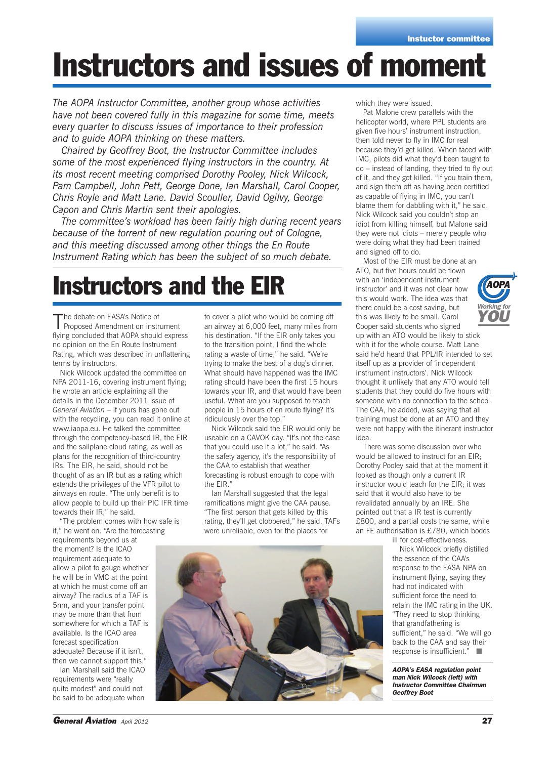# **Instructors and issues of moment**

*The AOPA Instructor Committee, another group whose activities have not been covered fully in this magazine for some time, meets every quarter to discuss issues of importance to their profession and to guide AOPA thinking on these matters.*

*Chaired by Geoffrey Boot, the Instructor Committee includes some of the most experienced flying instructors in the country. At its most recent meeting comprised Dorothy Pooley, Nick Wilcock, Pam Campbell, John Pett, George Done, Ian Marshall, Carol Cooper, Chris Royle and Matt Lane. David Scouller, David Ogilvy, George Capon and Chris Martin sent their apologies.*

*The committee's workload has been fairly high during recent years because of the torrent of new regulation pouring out of Cologne, and this meeting discussed among other things the En Route Instrument Rating which has been the subject of so much debate.*

### **Instructors and the EIR**

The debate on EASA's Notice of<br>Proposed Amendment on instrument flying concluded that AOPA should express no opinion on the En Route Instrument Rating, which was described in unflattering terms by instructors.

Nick Wilcock updated the committee on NPA 2011-16, covering instrument flying; he wrote an article explaining all the details in the December 2011 issue of *General Aviation* – if yours has gone out with the recycling, you can read it online at www.iaopa.eu. He talked the committee through the competency-based IR, the EIR and the sailplane cloud rating, as well as plans for the recognition of third-country IRs. The EIR, he said, should not be thought of as an IR but as a rating which extends the privileges of the VFR pilot to airways en route. "The only benefit is to allow people to build up their PIC IFR time towards their IR," he said.

"The problem comes with how safe is it," he went on. "Are the forecasting

requirements beyond us at the moment? Is the ICAO requirement adequate to allow a pilot to gauge whether he will be in VMC at the point at which he must come off an airway? The radius of a TAF is 5nm, and your transfer point may be more than that from somewhere for which a TAF is available. Is the ICAO area forecast specification adequate? Because if it isn't, then we cannot support this."

Ian Marshall said the ICAO requirements were "really quite modest" and could not be said to be adequate when

to cover a pilot who would be coming off an airway at 6,000 feet, many miles from his destination. "If the EIR only takes you to the transition point, I find the whole rating a waste of time," he said. "We're trying to make the best of a dog's dinner. What should have happened was the IMC rating should have been the first 15 hours towards your IR, and that would have been useful. What are you supposed to teach people in 15 hours of en route flying? It's ridiculously over the top."

Nick Wilcock said the EIR would only be useable on a CAVOK day. "It's not the case that you could use it a lot," he said. "As the safety agency, it's the responsibility of the CAA to establish that weather forecasting is robust enough to cope with the EIR."

Ian Marshall suggested that the legal ramifications might give the CAA pause. "The first person that gets killed by this rating, they'll get clobbered," he said. TAFs were unreliable, even for the places for

which they were issued.

Pat Malone drew parallels with the helicopter world, where PPL students are given five hours' instrument instruction, then told never to fly in IMC for real because they'd get killed. When faced with IMC, pilots did what they'd been taught to do – instead of landing, they tried to fly out of it, and they got killed. "If you train them, and sign them off as having been certified as capable of flying in IMC, you can't blame them for dabbling with it," he said. Nick Wilcock said you couldn't stop an idiot from killing himself, but Malone said they were not idiots – merely people who were doing what they had been trained and signed off to do.

Most of the EIR must be done at an ATO, but five hours could be flown with an 'independent instrument instructor' and it was not clear how this would work. The idea was that there could be a cost saving, but this was likely to be small. Carol Cooper said students who signed



up with an ATO would be likely to stick with it for the whole course. Matt Lane said he'd heard that PPL/IR intended to set itself up as a provider of 'independent instrument instructors'. Nick Wilcock thought it unlikely that any ATO would tell students that they could do five hours with someone with no connection to the school. The CAA, he added, was saying that all training must be done at an ATO and they were not happy with the itinerant instructor idea.

There was some discussion over who would be allowed to instruct for an EIR; Dorothy Pooley said that at the moment it looked as though only a current IR instructor would teach for the EIR; it was said that it would also have to be revalidated annually by an IRE. She pointed out that a IR test is currently £800, and a partial costs the same, while an FE authorisation is £780, which bodes ill for cost-effectiveness.

Nick Wilcock briefly distilled the essence of the CAA's response to the EASA NPA on instrument flying, saying they had not indicated with sufficient force the need to retain the IMC rating in the UK. "They need to stop thinking that grandfathering is sufficient," he said. "We will go back to the CAA and say their response is insufficient." ■

*AOPA's EASA regulation point man Nick Wilcock (left) with Instructor Committee Chairman Geoffrey Boot*

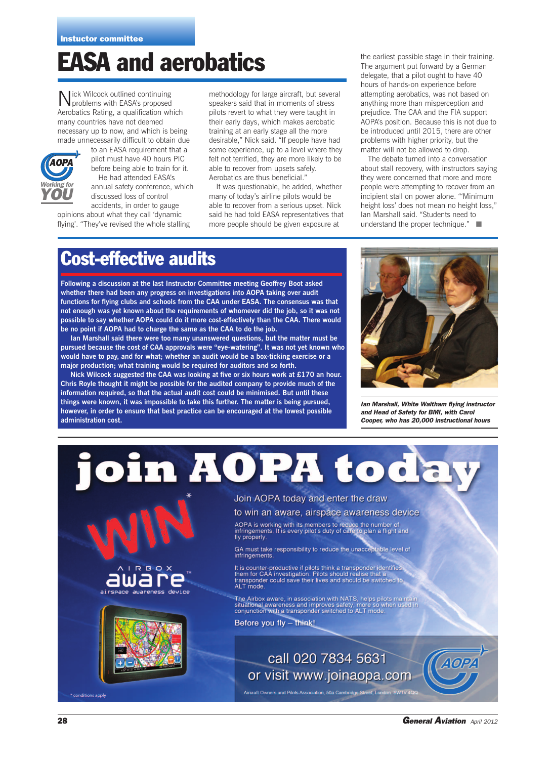### **EASA and aerobatics**

Nick Wilcock outlined continuing problems with EASA's proposed Aerobatics Rating, a qualification which many countries have not deemed necessary up to now, and which is being made unnecessarily difficult to obtain due



to an EASA requirement that a pilot must have 40 hours PIC before being able to train for it. He had attended EASA's annual safety conference, which discussed loss of control accidents, in order to gauge

opinions about what they call 'dynamic flying'. "They've revised the whole stalling

methodology for large aircraft, but several speakers said that in moments of stress pilots revert to what they were taught in their early days, which makes aerobatic training at an early stage all the more desirable," Nick said. "If people have had some experience, up to a level where they felt not terrified, they are more likely to be able to recover from upsets safely. Aerobatics are thus beneficial."

It was questionable, he added, whether many of today's airline pilots would be able to recover from a serious upset. Nick said he had told EASA representatives that more people should be given exposure at

the earliest possible stage in their training. The argument put forward by a German delegate, that a pilot ought to have 40 hours of hands-on experience before attempting aerobatics, was not based on anything more than misperception and prejudice. The CAA and the FIA support AOPA's position. Because this is not due to be introduced until 2015, there are other problems with higher priority, but the matter will not be allowed to drop.

The debate turned into a conversation about stall recovery, with instructors saying they were concerned that more and more people were attempting to recover from an incipient stall on power alone. "'Minimum height loss' does not mean no height loss," Ian Marshall said. "Students need to understand the proper technique." ■

#### **Cost-effective audits**

**Following a discussion at the last Instructor Committee meeting Geoffrey Boot asked whether there had been any progress on investigations into AOPA taking over audit functions for flying clubs and schools from the CAA under EASA. The consensus was that not enough was yet known about the requirements of whomever did the job, so it was not possible to say whether AOPA could do it more cost-effectively than the CAA. There would be no point if AOPA had to charge the same as the CAA to do the job.**

**Ian Marshall said there were too many unanswered questions, but the matter must be pursued because the cost of CAA approvals were "eye-watering". It was not yet known who would have to pay, and for what; whether an audit would be a box-ticking exercise or a major production; what training would be required for auditors and so forth.**

**Nick Wilcock suggested the CAA was looking at five or six hours work at £170 an hour. Chris Royle thought it might be possible for the audited company to provide much of the information required, so that the actual audit cost could be minimised. But until these things were known, it was impossible to take this further. The matter is being pursued, however, in order to ensure that best practice can be encouraged at the lowest possible administration cost.**



*Ian Marshall, White Waltham flying instructor and Head of Safety for BMI, with Carol Cooper, who has 20,000 instructional hours*

join AOPA toda

Join AOPA today and enter the draw

to win an aware, airspace awareness device

AOPA is working with its members to reduce the number of<br>infringements. It is every pilot's duty of care to plan a flight and fly properly

GA must take responsibility to reduce the unacceptable level of infringements

It is counter-productive if pilots think a transponder identifies<br>them for CAA investigation. Pilots should realise that a them for CAA investigation. Pilots should realise that a<br>transponder could save their lives and should be switched to<br>ALT mode.

The Airbox aware, in association with NATS, helps pilots maintain situational awareness and improves safety, more so when used in conjunction with a transponder switched to ALT mode.

Before you fly - think!

call 020 7834 5631 or visit www.joinaopa.com

Aircraft Owners and Pilots Association, 50a Cambridge Street, London SW1V

\* conditions apply